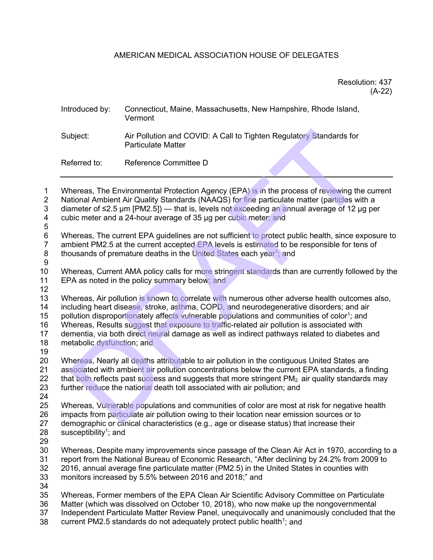# AMERICAN MEDICAL ASSOCIATION HOUSE OF DELEGATES

# Resolution: 437 (A-22)

# Introduced by: Connecticut, Maine, Massachusetts, New Hampshire, Rhode Island, Vermont Subject: Air Pollution and COVID: A Call to Tighten Regulatory Standards for Particulate Matter Referred to: Reference Committee D biject:<br>
Air Pollution and COVID: A Call to Tighten Regulatory Standards for<br>
Particulate Matter<br>
Seference Committee D<br>
Reference Committee D<br>
Reference Committee D<br>
Reference Committee D<br>
Reference Committee D<br>
That is,

1 Whereas, The Environmental Protection Agency (EPA) is in the process of reviewing the current 2 National Ambient Air Quality Standards (NAAQS) for fine particulate matter (particles with a

 $3$  diameter of ≤2.5 μm [PM2.5]) — that is, levels not exceeding an annual average of 12 μg per cubic meter and a 24-hour average of 35 μg per cubic meter; and cubic meter and a 24-hour average of 35 μg per cubic meter; and

5 Whereas, The current EPA guidelines are not sufficient to protect public health, since exposure to

7 ambient PM2.5 at the current accepted EPA levels is estimated to be responsible for tens of thousands of premature deaths in the United States each year<sup>1</sup>; and thousands of premature deaths in the United States each year<sup>1</sup>; and

9

10 Whereas, Current AMA policy calls for more stringent standards than are currently followed by the 11 EPA as noted in the policy summary below; and

12

13 Whereas, Air pollution is known to correlate with numerous other adverse health outcomes also,<br>14 including heart disease, stroke, asthma, COPD, and neurodegenerative disorders; and air including heart disease, stroke, asthma, COPD, and neurodegenerative disorders; and air

15 pollution disproportionately affects vulnerable populations and communities of color<sup>1</sup>; and

16 Whereas, Results suggest that exposure to traffic-related air pollution is associated with

17 dementia, via both direct neural damage as well as indirect pathways related to diabetes and<br>18 metabolic dysfunction: and metabolic dysfunction; and

19

20 Whereas, Nearly all deaths attributable to air pollution in the contiguous United States are<br>21 associated with ambient air pollution concentrations below the current EPA standards, a fir 21 associated with ambient air pollution concentrations below the current EPA standards, a finding<br>22 that both reflects past success and suggests that more stringent PM<sub>2</sub> air quality standards may that both reflects past success and suggests that more stringent PM<sub>2</sub> air quality standards may 23 further reduce the national death toll associated with air pollution; and

24

25 Whereas, Vulnerable populations and communities of color are most at risk for negative health 26 impacts from particulate air pollution owing to their location near emission sources or to 27 demographic or clinical characteristics (e.g., age or disease status) that increase their  $28$  susceptibility<sup>1</sup>; and

- susceptibility<sup>1</sup>; and
- 29

 Whereas, Despite many improvements since passage of the Clean Air Act in 1970, according to a 31 report from the National Bureau of Economic Research, "After declining by 24.2% from 2009 to 32<br>32 2016, annual average fine particulate matter (PM2.5) in the United States in counties with 2016, annual average fine particulate matter (PM2.5) in the United States in counties with monitors increased by 5.5% between 2016 and 2018;" and

34

35 Whereas, Former members of the EPA Clean Air Scientific Advisory Committee on Particulate

Matter (which was dissolved on October 10, 2018), who now make up the nongovernmental

37 Independent Particulate Matter Review Panel, unequivocally and unanimously concluded that the

38 current PM2.5 standards do not adequately protect public health<sup>1</sup>; and